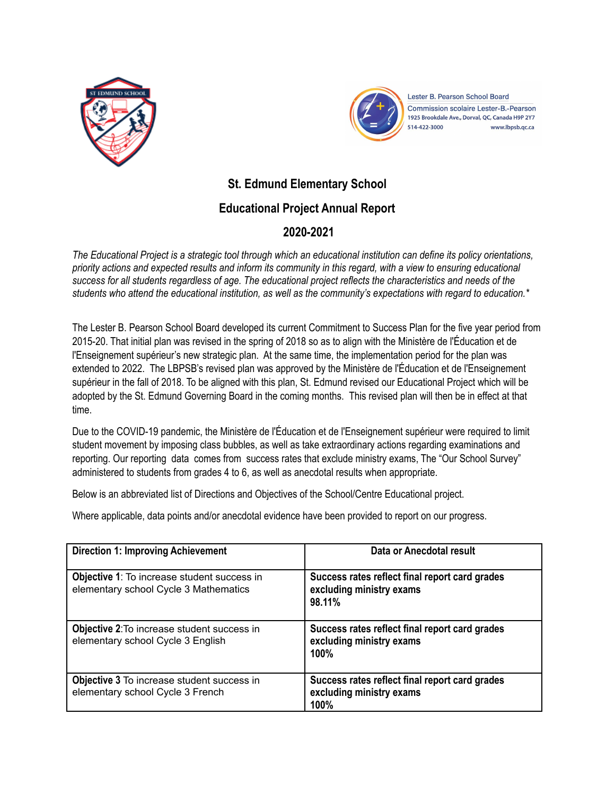



Lester B. Pearson School Board **Commission scolaire Lester-B.-Pearson** 1925 Brookdale Ave., Dorval, QC, Canada H9P 2Y7 514-422-3000 www.lbpsb.qc.ca

## **St. Edmund Elementary School**

## **Educational Project Annual Report**

## **2020-2021**

The Educational Project is a strategic tool through which an educational institution can define its policy orientations, priority actions and expected results and inform its community in this regard, with a view to ensuring educational success for all students regardless of age. The educational project reflects the characteristics and needs of the students who attend the educational institution, as well as the community's expectations with regard to education.\*

The Lester B. Pearson School Board developed its current Commitment to Success Plan for the five year period from 2015-20. That initial plan was revised in the spring of 2018 so as to align with the Ministère de l'Éducation et de l'Enseignement supérieur's new strategic plan. At the same time, the implementation period for the plan was extended to 2022. The LBPSB's revised plan was approved by the Ministère de l'Éducation et de l'Enseignement supérieur in the fall of 2018. To be aligned with this plan, St. Edmund revised our Educational Project which will be adopted by the St. Edmund Governing Board in the coming months. This revised plan will then be in effect at that time.

Due to the COVID-19 pandemic, the Ministère de l'Éducation et de l'Enseignement supérieur were required to limit student movement by imposing class bubbles, as well as take extraordinary actions regarding examinations and reporting. Our reporting data comes from success rates that exclude ministry exams, The "Our School Survey" administered to students from grades 4 to 6, as well as anecdotal results when appropriate.

Below is an abbreviated list of Directions and Objectives of the School/Centre Educational project.

Where applicable, data points and/or anecdotal evidence have been provided to report on our progress.

| <b>Direction 1: Improving Achievement</b>                                                   | Data or Anecdotal result                                                                  |
|---------------------------------------------------------------------------------------------|-------------------------------------------------------------------------------------------|
| <b>Objective 1:</b> To increase student success in<br>elementary school Cycle 3 Mathematics | Success rates reflect final report card grades<br>excluding ministry exams<br>98.11%      |
| Objective 2: To increase student success in<br>elementary school Cycle 3 English            | Success rates reflect final report card grades<br>excluding ministry exams<br>100%        |
| <b>Objective 3</b> To increase student success in<br>elementary school Cycle 3 French       | Success rates reflect final report card grades<br>excluding ministry exams<br><b>100%</b> |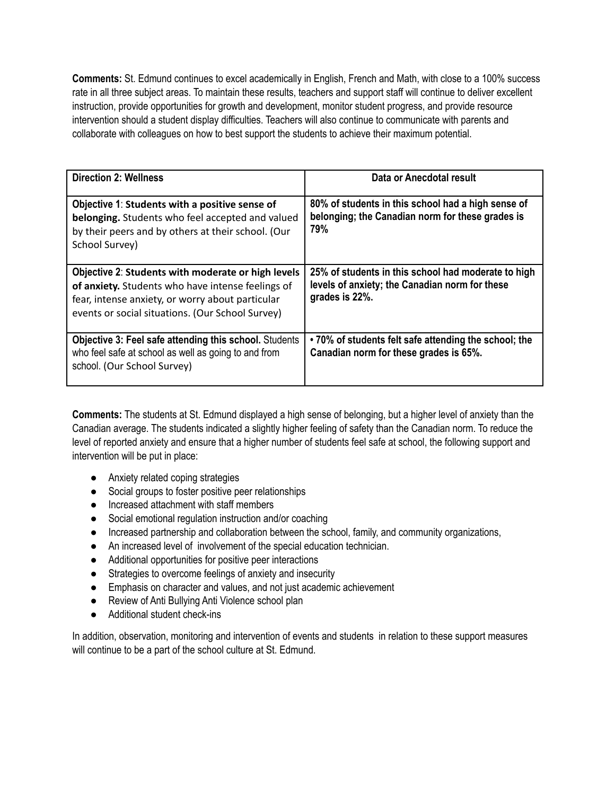**Comments:** St. Edmund continues to excel academically in English, French and Math, with close to a 100% success rate in all three subject areas. To maintain these results, teachers and support staff will continue to deliver excellent instruction, provide opportunities for growth and development, monitor student progress, and provide resource intervention should a student display difficulties. Teachers will also continue to communicate with parents and collaborate with colleagues on how to best support the students to achieve their maximum potential.

| <b>Direction 2: Wellness</b>                                                                                                                                                                                    | Data or Anecdotal result                                                                                                |
|-----------------------------------------------------------------------------------------------------------------------------------------------------------------------------------------------------------------|-------------------------------------------------------------------------------------------------------------------------|
| Objective 1: Students with a positive sense of<br>belonging. Students who feel accepted and valued<br>by their peers and by others at their school. (Our<br>School Survey)                                      | 80% of students in this school had a high sense of<br>belonging; the Canadian norm for these grades is<br>79%           |
| Objective 2: Students with moderate or high levels<br>of anxiety. Students who have intense feelings of<br>fear, intense anxiety, or worry about particular<br>events or social situations. (Our School Survey) | 25% of students in this school had moderate to high<br>levels of anxiety; the Canadian norm for these<br>grades is 22%. |
| Objective 3: Feel safe attending this school. Students<br>who feel safe at school as well as going to and from<br>school. (Our School Survey)                                                                   | •70% of students felt safe attending the school; the<br>Canadian norm for these grades is 65%.                          |

**Comments:** The students at St. Edmund displayed a high sense of belonging, but a higher level of anxiety than the Canadian average. The students indicated a slightly higher feeling of safety than the Canadian norm. To reduce the level of reported anxiety and ensure that a higher number of students feel safe at school, the following support and intervention will be put in place:

- Anxiety related coping strategies
- Social groups to foster positive peer relationships
- Increased attachment with staff members
- Social emotional regulation instruction and/or coaching
- Increased partnership and collaboration between the school, family, and community organizations,
- An increased level of involvement of the special education technician.
- Additional opportunities for positive peer interactions
- Strategies to overcome feelings of anxiety and insecurity
- Emphasis on character and values, and not just academic achievement
- Review of Anti Bullying Anti Violence school plan
- Additional student check-ins

In addition, observation, monitoring and intervention of events and students in relation to these support measures will continue to be a part of the school culture at St. Edmund.